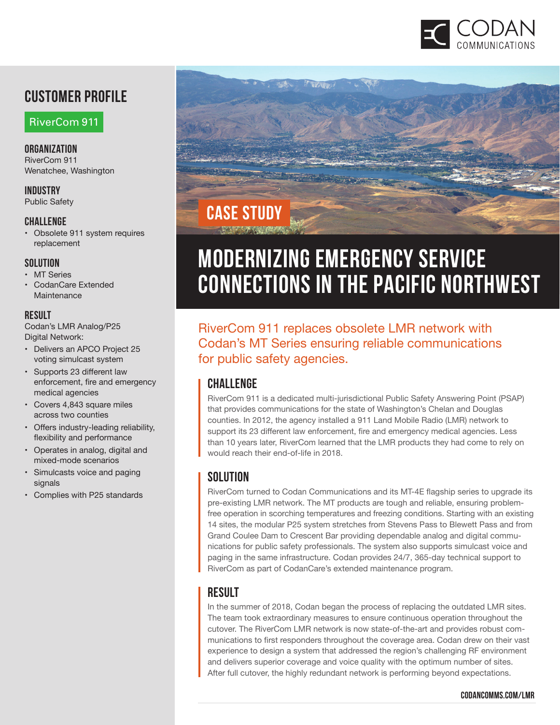

## **Customer profile**

RiverCom 911

**Organization**  RiverCom 911 Wenatchee, Washington

**Industry** Public Safety

#### **Challenge**

• Obsolete 911 system requires replacement

#### **Solution**

- MT Series
- CodanCare Extended Maintenance

#### **result**

Codan's LMR Analog/P25 Digital Network:

- Delivers an APCO Project 25 voting simulcast system
- Supports 23 different law enforcement, fire and emergency medical agencies
- Covers 4,843 square miles across two counties
- Offers industry-leading reliability, flexibility and performance
- Operates in analog, digital and mixed-mode scenarios
- Simulcasts voice and paging signals
- Complies with P25 standards



# **MODERNIZING EMERGENCY SERVICE CONNECTIONS IN THE PACIFIC NORTHWEST**

RiverCom 911 replaces obsolete LMR network with Codan's MT Series ensuring reliable communications for public safety agencies.

#### **CHALLENGE**

RiverCom 911 is a dedicated multi-jurisdictional Public Safety Answering Point (PSAP) that provides communications for the state of Washington's Chelan and Douglas counties. In 2012, the agency installed a 911 Land Mobile Radio (LMR) network to support its 23 different law enforcement, fire and emergency medical agencies. Less than 10 years later, RiverCom learned that the LMR products they had come to rely on would reach their end-of-life in 2018.

#### **SOLUTION**

RiverCom turned to Codan Communications and its MT-4E flagship series to upgrade its pre-existing LMR network. The MT products are tough and reliable, ensuring problemfree operation in scorching temperatures and freezing conditions. Starting with an existing 14 sites, the modular P25 system stretches from Stevens Pass to Blewett Pass and from Grand Coulee Dam to Crescent Bar providing dependable analog and digital communications for public safety professionals. The system also supports simulcast voice and paging in the same infrastructure. Codan provides 24/7, 365-day technical support to RiverCom as part of CodanCare's extended maintenance program.

#### **RESULT**

In the summer of 2018, Codan began the process of replacing the outdated LMR sites. The team took extraordinary measures to ensure continuous operation throughout the cutover. The RiverCom LMR network is now state-of-the-art and provides robust communications to first responders throughout the coverage area. Codan drew on their vast experience to design a system that addressed the region's challenging RF environment and delivers superior coverage and voice quality with the optimum number of sites. After full cutover, the highly redundant network is performing beyond expectations.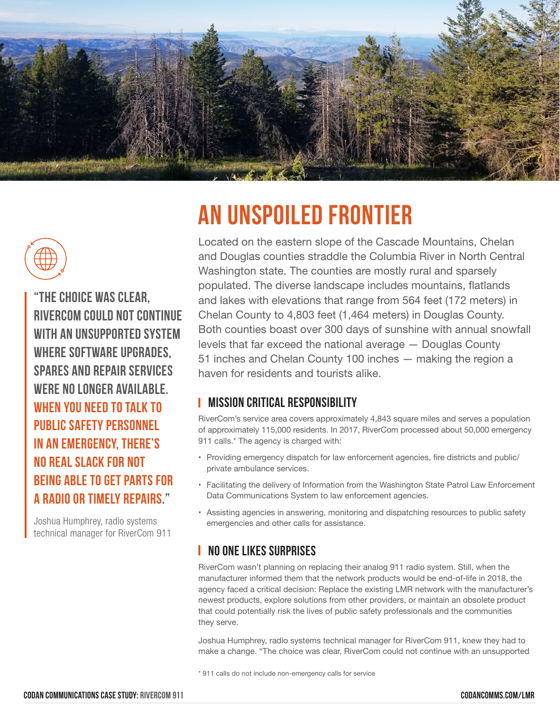



**"The choice was clear, RiverCom could not continue with an unsupported system where software upgrades, spares and repair services were no longer available. When you need to talk to public safety personnel in an emergency, there's no real slack for not being able to get parts for a radio or timely repairs."** 

Joshua Humphrey, radio systems technical manager for RiverCom 911

# **An Unspoiled Frontier**

Located on the eastern slope of the Cascade Mountains, Chelan and Douglas counties straddle the Columbia River in North Central Washington state. The counties are mostly rural and sparsely populated. The diverse landscape includes mountains, flatlands and lakes with elevations that range from 564 feet (172 meters) in Chelan County to 4,803 feet (1,464 meters) in Douglas County. Both counties boast over 300 days of sunshine with annual snowfall levels that far exceed the national average — Douglas County 51 inches and Chelan County 100 inches — making the region a haven for residents and tourists alike.

#### **Mission Critical Responsibility**

RiverCom's service area covers approximately 4,843 square miles and serves a population of approximately 115,000 residents. In 2017, RiverCom processed about 50,000 emergency 911 calls.\* The agency is charged with:

- • Providing emergency dispatch for law enforcement agencies, fire districts and public/ private ambulance services.
- • Facilitating the delivery of Information from the Washington State Patrol Law Enforcement Data Communications System to law enforcement agencies.
- • Assisting agencies in answering, monitoring and dispatching resources to public safety emergencies and other calls for assistance.

#### **No One Likes Surprises**

RiverCom wasn't planning on replacing their analog 911 radio system. Still, when the manufacturer informed them that the network products would be end-of-life in 2018, the agency faced a critical decision: Replace the existing LMR network with the manufacturer's newest products, explore solutions from other providers, or maintain an obsolete product that could potentially risk the lives of public safety professionals and the communities they serve.

Joshua Humphrey, radio systems technical manager for RiverCom 911, knew they had to make a change. "The choice was clear, RiverCom could not continue with an unsupported

\* 911 calls do not include non-emergency calls for service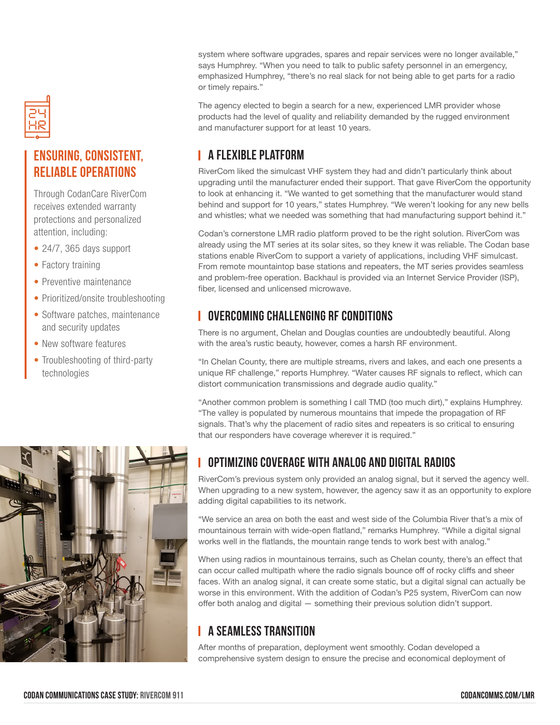

## **Ensuring, Consistent, Reliable Operations**

Through CodanCare RiverCom receives extended warranty protections and personalized attention, including:

- 24/7, 365 days support
- Factory training
- Preventive maintenance
- Prioritized/onsite troubleshooting
- Software patches, maintenance and security updates
- New software features
- Troubleshooting of third-party technologies



system where software upgrades, spares and repair services were no longer available," says Humphrey. "When you need to talk to public safety personnel in an emergency, emphasized Humphrey, "there's no real slack for not being able to get parts for a radio or timely repairs."

The agency elected to begin a search for a new, experienced LMR provider whose products had the level of quality and reliability demanded by the rugged environment and manufacturer support for at least 10 years.

#### **A Flexible Platform**

RiverCom liked the simulcast VHF system they had and didn't particularly think about upgrading until the manufacturer ended their support. That gave RiverCom the opportunity to look at enhancing it. "We wanted to get something that the manufacturer would stand behind and support for 10 years," states Humphrey. "We weren't looking for any new bells and whistles; what we needed was something that had manufacturing support behind it."

Codan's cornerstone LMR radio platform proved to be the right solution. RiverCom was already using the MT series at its solar sites, so they knew it was reliable. The Codan base stations enable RiverCom to support a variety of applications, including VHF simulcast. From remote mountaintop base stations and repeaters, the MT series provides seamless and problem-free operation. Backhaul is provided via an Internet Service Provider (ISP), fiber, licensed and unlicensed microwave.

#### **Overcoming Challenging RF Conditions**

There is no argument, Chelan and Douglas counties are undoubtedly beautiful. Along with the area's rustic beauty, however, comes a harsh RF environment.

"In Chelan County, there are multiple streams, rivers and lakes, and each one presents a unique RF challenge," reports Humphrey. "Water causes RF signals to reflect, which can distort communication transmissions and degrade audio quality."

"Another common problem is something I call TMD (too much dirt)," explains Humphrey. "The valley is populated by numerous mountains that impede the propagation of RF signals. That's why the placement of radio sites and repeaters is so critical to ensuring that our responders have coverage wherever it is required."

#### **Optimizing Coverage with Analog and Digital Radios**

RiverCom's previous system only provided an analog signal, but it served the agency well. When upgrading to a new system, however, the agency saw it as an opportunity to explore adding digital capabilities to its network.

"We service an area on both the east and west side of the Columbia River that's a mix of mountainous terrain with wide-open flatland," remarks Humphrey. "While a digital signal works well in the flatlands, the mountain range tends to work best with analog."

When using radios in mountainous terrains, such as Chelan county, there's an effect that can occur called multipath where the radio signals bounce off of rocky cliffs and sheer faces. With an analog signal, it can create some static, but a digital signal can actually be worse in this environment. With the addition of Codan's P25 system, RiverCom can now offer both analog and digital — something their previous solution didn't support.

#### **A Seamless Transition**

After months of preparation, deployment went smoothly. Codan developed a comprehensive system design to ensure the precise and economical deployment of